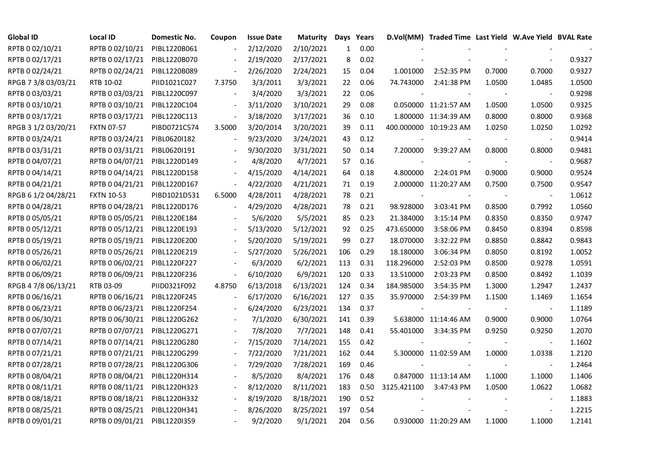| <b>Global ID</b>    | Local ID                     | Domestic No. | Coupon                   | <b>Issue Date</b> | <b>Maturity</b> | Days         | Years |                          | D.Vol(MM) Traded Time Last Yield W.Ave Yield BVAL Rate |        |                          |        |
|---------------------|------------------------------|--------------|--------------------------|-------------------|-----------------|--------------|-------|--------------------------|--------------------------------------------------------|--------|--------------------------|--------|
| RPTB 0 02/10/21     | RPTB 0 02/10/21              | PIBL1220B061 |                          | 2/12/2020         | 2/10/2021       | $\mathbf{1}$ | 0.00  |                          |                                                        |        |                          |        |
| RPTB 0 02/17/21     | RPTB 0 02/17/21              | PIBL1220B070 |                          | 2/19/2020         | 2/17/2021       | 8            | 0.02  |                          |                                                        |        |                          | 0.9327 |
| RPTB 0 02/24/21     | RPTB 0 02/24/21              | PIBL1220B089 | $\overline{\phantom{a}}$ | 2/26/2020         | 2/24/2021       | 15           | 0.04  | 1.001000                 | 2:52:35 PM                                             | 0.7000 | 0.7000                   | 0.9327 |
| RPGB 7 3/8 03/03/21 | RTB 10-02                    | PIID1021C027 | 7.3750                   | 3/3/2011          | 3/3/2021        | 22           | 0.06  | 74.743000                | 2:41:38 PM                                             | 1.0500 | 1.0485                   | 1.0500 |
| RPTB 0 03/03/21     | RPTB 0 03/03/21              | PIBL1220C097 | $\overline{\phantom{a}}$ | 3/4/2020          | 3/3/2021        | 22           | 0.06  |                          |                                                        |        | $\overline{\phantom{a}}$ | 0.9298 |
| RPTB 0 03/10/21     | RPTB 0 03/10/21              | PIBL1220C104 |                          | 3/11/2020         | 3/10/2021       | 29           | 0.08  |                          | 0.050000 11:21:57 AM                                   | 1.0500 | 1.0500                   | 0.9325 |
| RPTB 0 03/17/21     | RPTB 0 03/17/21              | PIBL1220C113 | $\overline{\phantom{a}}$ | 3/18/2020         | 3/17/2021       | 36           | 0.10  |                          | 1.800000 11:34:39 AM                                   | 0.8000 | 0.8000                   | 0.9368 |
| RPGB 3 1/2 03/20/21 | <b>FXTN 07-57</b>            | PIBD0721C574 | 3.5000                   | 3/20/2014         | 3/20/2021       | 39           | 0.11  |                          | 400.000000 10:19:23 AM                                 | 1.0250 | 1.0250                   | 1.0292 |
| RPTB 0 03/24/21     | RPTB 0 03/24/21              | PIBL0620I182 |                          | 9/23/2020         | 3/24/2021       | 43           | 0.12  |                          |                                                        |        |                          | 0.9414 |
| RPTB 0 03/31/21     | RPTB 0 03/31/21              | PIBL0620I191 |                          | 9/30/2020         | 3/31/2021       | 50           | 0.14  | 7.200000                 | 9:39:27 AM                                             | 0.8000 | 0.8000                   | 0.9481 |
| RPTB 0 04/07/21     | RPTB 0 04/07/21              | PIBL1220D149 |                          | 4/8/2020          | 4/7/2021        | 57           | 0.16  |                          |                                                        |        | $\blacksquare$           | 0.9687 |
| RPTB 0 04/14/21     | RPTB 0 04/14/21              | PIBL1220D158 |                          | 4/15/2020         | 4/14/2021       | 64           | 0.18  | 4.800000                 | 2:24:01 PM                                             | 0.9000 | 0.9000                   | 0.9524 |
| RPTB 0 04/21/21     | RPTB 0 04/21/21              | PIBL1220D167 |                          | 4/22/2020         | 4/21/2021       | 71           | 0.19  |                          | 2.000000 11:20:27 AM                                   | 0.7500 | 0.7500                   | 0.9547 |
| RPGB 6 1/2 04/28/21 | <b>FXTN 10-53</b>            | PIBD1021D531 | 6.5000                   | 4/28/2011         | 4/28/2021       | 78           | 0.21  | $\overline{\phantom{a}}$ |                                                        |        | $\blacksquare$           | 1.0612 |
| RPTB 0 04/28/21     | RPTB 0 04/28/21              | PIBL1220D176 |                          | 4/29/2020         | 4/28/2021       | 78           | 0.21  | 98.928000                | 3:03:41 PM                                             | 0.8500 | 0.7992                   | 1.0560 |
| RPTB 0 05/05/21     | RPTB 0 05/05/21              | PIBL1220E184 |                          | 5/6/2020          | 5/5/2021        | 85           | 0.23  | 21.384000                | 3:15:14 PM                                             | 0.8350 | 0.8350                   | 0.9747 |
| RPTB 0 05/12/21     | RPTB 0 05/12/21              | PIBL1220E193 |                          | 5/13/2020         | 5/12/2021       | 92           | 0.25  | 473.650000               | 3:58:06 PM                                             | 0.8450 | 0.8394                   | 0.8598 |
| RPTB 0 05/19/21     | RPTB 0 05/19/21              | PIBL1220E200 |                          | 5/20/2020         | 5/19/2021       | 99           | 0.27  | 18.070000                | 3:32:22 PM                                             | 0.8850 | 0.8842                   | 0.9843 |
| RPTB 0 05/26/21     | RPTB 0 05/26/21              | PIBL1220E219 |                          | 5/27/2020         | 5/26/2021       | 106          | 0.29  | 18.180000                | 3:06:34 PM                                             | 0.8050 | 0.8192                   | 1.0052 |
| RPTB 0 06/02/21     | RPTB 0 06/02/21              | PIBL1220F227 |                          | 6/3/2020          | 6/2/2021        | 113          | 0.31  | 118.296000               | 2:52:03 PM                                             | 0.8500 | 0.9278                   | 1.0591 |
| RPTB 0 06/09/21     | RPTB 0 06/09/21              | PIBL1220F236 | $\blacksquare$           | 6/10/2020         | 6/9/2021        | 120          | 0.33  | 13.510000                | 2:03:23 PM                                             | 0.8500 | 0.8492                   | 1.1039 |
| RPGB 4 7/8 06/13/21 | RTB 03-09                    | PIID0321F092 | 4.8750                   | 6/13/2018         | 6/13/2021       | 124          | 0.34  | 184.985000               | 3:54:35 PM                                             | 1.3000 | 1.2947                   | 1.2437 |
| RPTB 0 06/16/21     | RPTB 0 06/16/21              | PIBL1220F245 |                          | 6/17/2020         | 6/16/2021       | 127          | 0.35  | 35.970000                | 2:54:39 PM                                             | 1.1500 | 1.1469                   | 1.1654 |
| RPTB 0 06/23/21     | RPTB 0 06/23/21              | PIBL1220F254 |                          | 6/24/2020         | 6/23/2021       | 134          | 0.37  |                          |                                                        |        |                          | 1.1189 |
| RPTB 0 06/30/21     | RPTB 0 06/30/21              | PIBL1220G262 |                          | 7/1/2020          | 6/30/2021       | 141          | 0.39  |                          | 5.638000 11:14:46 AM                                   | 0.9000 | 0.9000                   | 1.0764 |
| RPTB 0 07/07/21     | RPTB 0 07/07/21              | PIBL1220G271 |                          | 7/8/2020          | 7/7/2021        | 148          | 0.41  | 55.401000                | 3:34:35 PM                                             | 0.9250 | 0.9250                   | 1.2070 |
| RPTB 0 07/14/21     | RPTB 0 07/14/21              | PIBL1220G280 |                          | 7/15/2020         | 7/14/2021       | 155          | 0.42  |                          |                                                        |        | $\blacksquare$           | 1.1602 |
| RPTB 0 07/21/21     | RPTB 0 07/21/21              | PIBL1220G299 |                          | 7/22/2020         | 7/21/2021       | 162          | 0.44  |                          | 5.300000 11:02:59 AM                                   | 1.0000 | 1.0338                   | 1.2120 |
| RPTB 0 07/28/21     | RPTB 0 07/28/21              | PIBL1220G306 |                          | 7/29/2020         | 7/28/2021       | 169          | 0.46  |                          |                                                        |        | $\blacksquare$           | 1.2464 |
| RPTB 0 08/04/21     | RPTB 0 08/04/21              | PIBL1220H314 |                          | 8/5/2020          | 8/4/2021        | 176          | 0.48  |                          | 0.847000 11:13:14 AM                                   | 1.1000 | 1.1000                   | 1.1406 |
| RPTB 0 08/11/21     | RPTB 0 08/11/21              | PIBL1220H323 |                          | 8/12/2020         | 8/11/2021       | 183          | 0.50  | 3125.421100              | 3:47:43 PM                                             | 1.0500 | 1.0622                   | 1.0682 |
| RPTB 0 08/18/21     | RPTB 0 08/18/21              | PIBL1220H332 |                          | 8/19/2020         | 8/18/2021       | 190          | 0.52  |                          |                                                        |        | $\blacksquare$           | 1.1883 |
| RPTB 0 08/25/21     | RPTB 0 08/25/21              | PIBL1220H341 |                          | 8/26/2020         | 8/25/2021       | 197          | 0.54  |                          |                                                        |        |                          | 1.2215 |
| RPTB 0 09/01/21     | RPTB 0 09/01/21 PIBL1220I359 |              |                          | 9/2/2020          | 9/1/2021        | 204          | 0.56  |                          | 0.930000 11:20:29 AM                                   | 1.1000 | 1.1000                   | 1.2141 |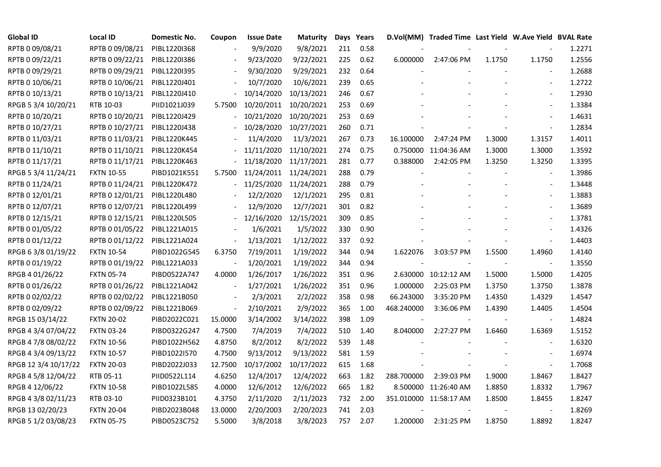| <b>Global ID</b>     | <b>Local ID</b>   | Domestic No. | Coupon                   | <b>Issue Date</b> | <b>Maturity</b> |     | Days Years |            | D.Vol(MM) Traded Time Last Yield W.Ave Yield BVAL Rate |        |                          |        |
|----------------------|-------------------|--------------|--------------------------|-------------------|-----------------|-----|------------|------------|--------------------------------------------------------|--------|--------------------------|--------|
| RPTB 0 09/08/21      | RPTB 0 09/08/21   | PIBL1220I368 |                          | 9/9/2020          | 9/8/2021        | 211 | 0.58       |            |                                                        |        |                          | 1.2271 |
| RPTB 0 09/22/21      | RPTB 0 09/22/21   | PIBL1220I386 |                          | 9/23/2020         | 9/22/2021       | 225 | 0.62       | 6.000000   | 2:47:06 PM                                             | 1.1750 | 1.1750                   | 1.2556 |
| RPTB 0 09/29/21      | RPTB 0 09/29/21   | PIBL1220I395 |                          | 9/30/2020         | 9/29/2021       | 232 | 0.64       |            |                                                        |        |                          | 1.2688 |
| RPTB 0 10/06/21      | RPTB 0 10/06/21   | PIBL1220J401 |                          | 10/7/2020         | 10/6/2021       | 239 | 0.65       |            |                                                        |        | $\overline{\phantom{a}}$ | 1.2722 |
| RPTB 0 10/13/21      | RPTB 0 10/13/21   | PIBL1220J410 |                          | 10/14/2020        | 10/13/2021      | 246 | 0.67       |            |                                                        |        | $\blacksquare$           | 1.2930 |
| RPGB 5 3/4 10/20/21  | RTB 10-03         | PIID1021J039 | 5.7500                   | 10/20/2011        | 10/20/2021      | 253 | 0.69       |            |                                                        |        | $\blacksquare$           | 1.3384 |
| RPTB 0 10/20/21      | RPTB 0 10/20/21   | PIBL1220J429 |                          | 10/21/2020        | 10/20/2021      | 253 | 0.69       |            |                                                        |        | $\blacksquare$           | 1.4631 |
| RPTB 0 10/27/21      | RPTB 0 10/27/21   | PIBL1220J438 |                          | 10/28/2020        | 10/27/2021      | 260 | 0.71       |            |                                                        |        | $\blacksquare$           | 1.2834 |
| RPTB 0 11/03/21      | RPTB 0 11/03/21   | PIBL1220K445 |                          | 11/4/2020         | 11/3/2021       | 267 | 0.73       | 16.100000  | 2:47:24 PM                                             | 1.3000 | 1.3157                   | 1.4011 |
| RPTB 0 11/10/21      | RPTB 0 11/10/21   | PIBL1220K454 |                          | 11/11/2020        | 11/10/2021      | 274 | 0.75       |            | 0.750000 11:04:36 AM                                   | 1.3000 | 1.3000                   | 1.3592 |
| RPTB 0 11/17/21      | RPTB 0 11/17/21   | PIBL1220K463 |                          | 11/18/2020        | 11/17/2021      | 281 | 0.77       | 0.388000   | 2:42:05 PM                                             | 1.3250 | 1.3250                   | 1.3395 |
| RPGB 5 3/4 11/24/21  | <b>FXTN 10-55</b> | PIBD1021K551 | 5.7500                   | 11/24/2011        | 11/24/2021      | 288 | 0.79       |            |                                                        |        | $\overline{\phantom{a}}$ | 1.3986 |
| RPTB 0 11/24/21      | RPTB 0 11/24/21   | PIBL1220K472 |                          | 11/25/2020        | 11/24/2021      | 288 | 0.79       |            |                                                        |        | $\blacksquare$           | 1.3448 |
| RPTB 0 12/01/21      | RPTB 0 12/01/21   | PIBL1220L480 |                          | 12/2/2020         | 12/1/2021       | 295 | 0.81       |            |                                                        |        | $\overline{\phantom{a}}$ | 1.3883 |
| RPTB 0 12/07/21      | RPTB 0 12/07/21   | PIBL1220L499 |                          | 12/9/2020         | 12/7/2021       | 301 | 0.82       |            |                                                        |        | $\blacksquare$           | 1.3689 |
| RPTB 0 12/15/21      | RPTB 0 12/15/21   | PIBL1220L505 |                          | 12/16/2020        | 12/15/2021      | 309 | 0.85       |            |                                                        |        |                          | 1.3781 |
| RPTB 0 01/05/22      | RPTB 0 01/05/22   | PIBL1221A015 |                          | 1/6/2021          | 1/5/2022        | 330 | 0.90       |            |                                                        |        | $\blacksquare$           | 1.4326 |
| RPTB 0 01/12/22      | RPTB 0 01/12/22   | PIBL1221A024 | $\blacksquare$           | 1/13/2021         | 1/12/2022       | 337 | 0.92       |            |                                                        |        | $\blacksquare$           | 1.4403 |
| RPGB 63/8 01/19/22   | <b>FXTN 10-54</b> | PIBD1022G545 | 6.3750                   | 7/19/2011         | 1/19/2022       | 344 | 0.94       | 1.622076   | 3:03:57 PM                                             | 1.5500 | 1.4960                   | 1.4140 |
| RPTB 0 01/19/22      | RPTB 0 01/19/22   | PIBL1221A033 |                          | 1/20/2021         | 1/19/2022       | 344 | 0.94       |            |                                                        |        | $\blacksquare$           | 1.3550 |
| RPGB 4 01/26/22      | <b>FXTN 05-74</b> | PIBD0522A747 | 4.0000                   | 1/26/2017         | 1/26/2022       | 351 | 0.96       |            | 2.630000 10:12:12 AM                                   | 1.5000 | 1.5000                   | 1.4205 |
| RPTB 0 01/26/22      | RPTB 0 01/26/22   | PIBL1221A042 | $\overline{\phantom{a}}$ | 1/27/2021         | 1/26/2022       | 351 | 0.96       | 1.000000   | 2:25:03 PM                                             | 1.3750 | 1.3750                   | 1.3878 |
| RPTB 0 02/02/22      | RPTB 0 02/02/22   | PIBL1221B050 |                          | 2/3/2021          | 2/2/2022        | 358 | 0.98       | 66.243000  | 3:35:20 PM                                             | 1.4350 | 1.4329                   | 1.4547 |
| RPTB 0 02/09/22      | RPTB 0 02/09/22   | PIBL1221B069 | $\overline{\phantom{a}}$ | 2/10/2021         | 2/9/2022        | 365 | 1.00       | 468.240000 | 3:36:06 PM                                             | 1.4390 | 1.4405                   | 1.4504 |
| RPGB 15 03/14/22     | <b>FXTN 20-02</b> | PIBD2022C021 | 15.0000                  | 3/14/2002         | 3/14/2022       | 398 | 1.09       |            |                                                        |        | $\blacksquare$           | 1.4824 |
| RPGB 4 3/4 07/04/22  | <b>FXTN 03-24</b> | PIBD0322G247 | 4.7500                   | 7/4/2019          | 7/4/2022        | 510 | 1.40       | 8.040000   | 2:27:27 PM                                             | 1.6460 | 1.6369                   | 1.5152 |
| RPGB 4 7/8 08/02/22  | <b>FXTN 10-56</b> | PIBD1022H562 | 4.8750                   | 8/2/2012          | 8/2/2022        | 539 | 1.48       |            |                                                        |        | $\overline{a}$           | 1.6320 |
| RPGB 4 3/4 09/13/22  | <b>FXTN 10-57</b> | PIBD1022I570 | 4.7500                   | 9/13/2012         | 9/13/2022       | 581 | 1.59       |            |                                                        |        | $\overline{\phantom{a}}$ | 1.6974 |
| RPGB 12 3/4 10/17/22 | <b>FXTN 20-03</b> | PIBD2022J033 | 12.7500                  | 10/17/2002        | 10/17/2022      | 615 | 1.68       |            |                                                        |        | $\blacksquare$           | 1.7068 |
| RPGB 4 5/8 12/04/22  | RTB 05-11         | PIID0522L114 | 4.6250                   | 12/4/2017         | 12/4/2022       | 663 | 1.82       | 288.700000 | 2:39:03 PM                                             | 1.9000 | 1.8467                   | 1.8427 |
| RPGB 4 12/06/22      | <b>FXTN 10-58</b> | PIBD1022L585 | 4.0000                   | 12/6/2012         | 12/6/2022       | 665 | 1.82       |            | 8.500000 11:26:40 AM                                   | 1.8850 | 1.8332                   | 1.7967 |
| RPGB 4 3/8 02/11/23  | RTB 03-10         | PIID0323B101 | 4.3750                   | 2/11/2020         | 2/11/2023       | 732 | 2.00       |            | 351.010000 11:58:17 AM                                 | 1.8500 | 1.8455                   | 1.8247 |
| RPGB 13 02/20/23     | <b>FXTN 20-04</b> | PIBD2023B048 | 13.0000                  | 2/20/2003         | 2/20/2023       | 741 | 2.03       |            |                                                        |        |                          | 1.8269 |
| RPGB 5 1/2 03/08/23  | <b>FXTN 05-75</b> | PIBD0523C752 | 5.5000                   | 3/8/2018          | 3/8/2023        | 757 | 2.07       | 1.200000   | 2:31:25 PM                                             | 1.8750 | 1.8892                   | 1.8247 |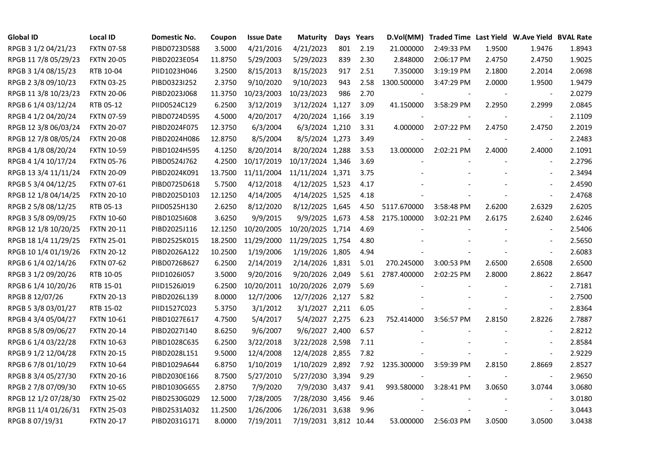| <b>Global ID</b>     | <b>Local ID</b>   | Domestic No. | Coupon  | <b>Issue Date</b> | <b>Maturity</b>       |     | Days Years | D.Vol(MM)   | Traded Time Last Yield W.Ave Yield BVAL Rate |                          |                          |        |
|----------------------|-------------------|--------------|---------|-------------------|-----------------------|-----|------------|-------------|----------------------------------------------|--------------------------|--------------------------|--------|
| RPGB 3 1/2 04/21/23  | <b>FXTN 07-58</b> | PIBD0723D588 | 3.5000  | 4/21/2016         | 4/21/2023             | 801 | 2.19       | 21.000000   | 2:49:33 PM                                   | 1.9500                   | 1.9476                   | 1.8943 |
| RPGB 11 7/8 05/29/23 | <b>FXTN 20-05</b> | PIBD2023E054 | 11.8750 | 5/29/2003         | 5/29/2023             | 839 | 2.30       | 2.848000    | 2:06:17 PM                                   | 2.4750                   | 2.4750                   | 1.9025 |
| RPGB 3 1/4 08/15/23  | RTB 10-04         | PIID1023H046 | 3.2500  | 8/15/2013         | 8/15/2023             | 917 | 2.51       | 7.350000    | 3:19:19 PM                                   | 2.1800                   | 2.2014                   | 2.0698 |
| RPGB 2 3/8 09/10/23  | <b>FXTN 03-25</b> | PIBD0323I252 | 2.3750  | 9/10/2020         | 9/10/2023             | 943 | 2.58       | 1300.500000 | 3:47:29 PM                                   | 2.0000                   | 1.9500                   | 1.9479 |
| RPGB 11 3/8 10/23/23 | <b>FXTN 20-06</b> | PIBD2023J068 | 11.3750 | 10/23/2003        | 10/23/2023            | 986 | 2.70       |             |                                              |                          |                          | 2.0279 |
| RPGB 6 1/4 03/12/24  | RTB 05-12         | PIID0524C129 | 6.2500  | 3/12/2019         | 3/12/2024 1,127       |     | 3.09       | 41.150000   | 3:58:29 PM                                   | 2.2950                   | 2.2999                   | 2.0845 |
| RPGB 4 1/2 04/20/24  | <b>FXTN 07-59</b> | PIBD0724D595 | 4.5000  | 4/20/2017         | 4/20/2024 1,166       |     | 3.19       |             |                                              |                          | $\sim$                   | 2.1109 |
| RPGB 12 3/8 06/03/24 | <b>FXTN 20-07</b> | PIBD2024F075 | 12.3750 | 6/3/2004          | 6/3/2024 1,210        |     | 3.31       | 4.000000    | 2:07:22 PM                                   | 2.4750                   | 2.4750                   | 2.2019 |
| RPGB 12 7/8 08/05/24 | <b>FXTN 20-08</b> | PIBD2024H086 | 12.8750 | 8/5/2004          | 8/5/2024 1,273        |     | 3.49       |             |                                              |                          | $\overline{\phantom{a}}$ | 2.2483 |
| RPGB 4 1/8 08/20/24  | <b>FXTN 10-59</b> | PIBD1024H595 | 4.1250  | 8/20/2014         | 8/20/2024 1,288       |     | 3.53       | 13.000000   | 2:02:21 PM                                   | 2.4000                   | 2.4000                   | 2.1091 |
| RPGB 4 1/4 10/17/24  | <b>FXTN 05-76</b> | PIBD0524J762 | 4.2500  | 10/17/2019        | 10/17/2024 1,346      |     | 3.69       |             |                                              | $\overline{\phantom{a}}$ | $\sim$                   | 2.2796 |
| RPGB 13 3/4 11/11/24 | <b>FXTN 20-09</b> | PIBD2024K091 | 13.7500 | 11/11/2004        | 11/11/2024 1,371      |     | 3.75       |             |                                              |                          | $\blacksquare$           | 2.3494 |
| RPGB 5 3/4 04/12/25  | <b>FXTN 07-61</b> | PIBD0725D618 | 5.7500  | 4/12/2018         | 4/12/2025 1,523       |     | 4.17       |             |                                              |                          | $\sim$                   | 2.4590 |
| RPGB 12 1/8 04/14/25 | <b>FXTN 20-10</b> | PIBD2025D103 | 12.1250 | 4/14/2005         | 4/14/2025 1,525       |     | 4.18       |             |                                              |                          | $\blacksquare$           | 2.4768 |
| RPGB 2 5/8 08/12/25  | RTB 05-13         | PIID0525H130 | 2.6250  | 8/12/2020         | 8/12/2025 1,645       |     | 4.50       | 5117.670000 | 3:58:48 PM                                   | 2.6200                   | 2.6329                   | 2.6205 |
| RPGB 3 5/8 09/09/25  | <b>FXTN 10-60</b> | PIBD10251608 | 3.6250  | 9/9/2015          | 9/9/2025 1,673        |     | 4.58       | 2175.100000 | 3:02:21 PM                                   | 2.6175                   | 2.6240                   | 2.6246 |
| RPGB 12 1/8 10/20/25 | <b>FXTN 20-11</b> | PIBD2025J116 | 12.1250 | 10/20/2005        | 10/20/2025 1,714      |     | 4.69       |             |                                              |                          | $\overline{\phantom{a}}$ | 2.5406 |
| RPGB 18 1/4 11/29/25 | <b>FXTN 25-01</b> | PIBD2525K015 | 18.2500 | 11/29/2000        | 11/29/2025 1,754      |     | 4.80       |             |                                              |                          | $\overline{\phantom{a}}$ | 2.5650 |
| RPGB 10 1/4 01/19/26 | <b>FXTN 20-12</b> | PIBD2026A122 | 10.2500 | 1/19/2006         | 1/19/2026 1,805       |     | 4.94       |             |                                              |                          | $\sim$                   | 2.6083 |
| RPGB 6 1/4 02/14/26  | <b>FXTN 07-62</b> | PIBD0726B627 | 6.2500  | 2/14/2019         | 2/14/2026 1,831       |     | 5.01       | 270.245000  | 3:00:53 PM                                   | 2.6500                   | 2.6508                   | 2.6500 |
| RPGB 3 1/2 09/20/26  | RTB 10-05         | PIID1026I057 | 3.5000  | 9/20/2016         | 9/20/2026 2,049       |     | 5.61       | 2787.400000 | 2:02:25 PM                                   | 2.8000                   | 2.8622                   | 2.8647 |
| RPGB 6 1/4 10/20/26  | RTB 15-01         | PIID1526J019 | 6.2500  | 10/20/2011        | 10/20/2026 2,079      |     | 5.69       |             |                                              |                          | $\blacksquare$           | 2.7181 |
| RPGB 8 12/07/26      | <b>FXTN 20-13</b> | PIBD2026L139 | 8.0000  | 12/7/2006         | 12/7/2026 2,127       |     | 5.82       |             |                                              |                          | $\overline{\phantom{a}}$ | 2.7500 |
| RPGB 5 3/8 03/01/27  | RTB 15-02         | PIID1527C023 | 5.3750  | 3/1/2012          | 3/1/2027 2,211        |     | 6.05       |             |                                              |                          | $\overline{\phantom{a}}$ | 2.8364 |
| RPGB 4 3/4 05/04/27  | <b>FXTN 10-61</b> | PIBD1027E617 | 4.7500  | 5/4/2017          | 5/4/2027 2,275        |     | 6.23       | 752.414000  | 3:56:57 PM                                   | 2.8150                   | 2.8226                   | 2.7887 |
| RPGB 8 5/8 09/06/27  | <b>FXTN 20-14</b> | PIBD2027I140 | 8.6250  | 9/6/2007          | 9/6/2027 2,400        |     | 6.57       |             |                                              |                          | $\blacksquare$           | 2.8212 |
| RPGB 6 1/4 03/22/28  | <b>FXTN 10-63</b> | PIBD1028C635 | 6.2500  | 3/22/2018         | 3/22/2028 2,598       |     | 7.11       |             |                                              |                          | $\sim$                   | 2.8584 |
| RPGB 9 1/2 12/04/28  | <b>FXTN 20-15</b> | PIBD2028L151 | 9.5000  | 12/4/2008         | 12/4/2028 2,855       |     | 7.82       |             |                                              |                          | $\blacksquare$           | 2.9229 |
| RPGB 67/8 01/10/29   | <b>FXTN 10-64</b> | PIBD1029A644 | 6.8750  | 1/10/2019         | 1/10/2029 2,892       |     | 7.92       | 1235.300000 | 3:59:39 PM                                   | 2.8150                   | 2.8669                   | 2.8527 |
| RPGB 8 3/4 05/27/30  | <b>FXTN 20-16</b> | PIBD2030E166 | 8.7500  | 5/27/2010         | 5/27/2030 3,394       |     | 9.29       |             |                                              |                          | $\overline{\phantom{a}}$ | 2.9650 |
| RPGB 2 7/8 07/09/30  | <b>FXTN 10-65</b> | PIBD1030G655 | 2.8750  | 7/9/2020          | 7/9/2030 3,437        |     | 9.41       | 993.580000  | 3:28:41 PM                                   | 3.0650                   | 3.0744                   | 3.0680 |
| RPGB 12 1/2 07/28/30 | <b>FXTN 25-02</b> | PIBD2530G029 | 12.5000 | 7/28/2005         | 7/28/2030 3,456       |     | 9.46       |             |                                              |                          | $\overline{\phantom{a}}$ | 3.0180 |
| RPGB 11 1/4 01/26/31 | <b>FXTN 25-03</b> | PIBD2531A032 | 11.2500 | 1/26/2006         | 1/26/2031 3,638       |     | 9.96       |             |                                              |                          | $\sim$                   | 3.0443 |
| RPGB 8 07/19/31      | <b>FXTN 20-17</b> | PIBD2031G171 | 8.0000  | 7/19/2011         | 7/19/2031 3,812 10.44 |     |            | 53.000000   | 2:56:03 PM                                   | 3.0500                   | 3.0500                   | 3.0438 |